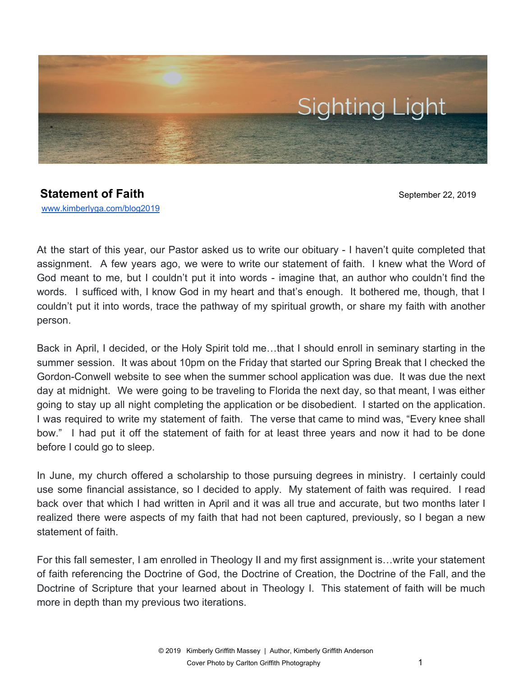

## **Statement of Faith** September 22, 2019

[www.kimberlyga.com/blog2019](http://www.kimberlyga.com/blog)

At the start of this year, our Pastor asked us to write our obituary - I haven't quite completed that assignment. A few years ago, we were to write our statement of faith. I knew what the Word of God meant to me, but I couldn't put it into words - imagine that, an author who couldn't find the words. I sufficed with, I know God in my heart and that's enough. It bothered me, though, that I couldn't put it into words, trace the pathway of my spiritual growth, or share my faith with another person.

Back in April, I decided, or the Holy Spirit told me…that I should enroll in seminary starting in the summer session. It was about 10pm on the Friday that started our Spring Break that I checked the Gordon-Conwell website to see when the summer school application was due. It was due the next day at midnight. We were going to be traveling to Florida the next day, so that meant, I was either going to stay up all night completing the application or be disobedient. I started on the application. I was required to write my statement of faith. The verse that came to mind was, "Every knee shall bow." I had put it off the statement of faith for at least three years and now it had to be done before I could go to sleep.

In June, my church offered a scholarship to those pursuing degrees in ministry. I certainly could use some financial assistance, so I decided to apply. My statement of faith was required. I read back over that which I had written in April and it was all true and accurate, but two months later I realized there were aspects of my faith that had not been captured, previously, so I began a new statement of faith.

For this fall semester, I am enrolled in Theology II and my first assignment is…write your statement of faith referencing the Doctrine of God, the Doctrine of Creation, the Doctrine of the Fall, and the Doctrine of Scripture that your learned about in Theology I. This statement of faith will be much more in depth than my previous two iterations.